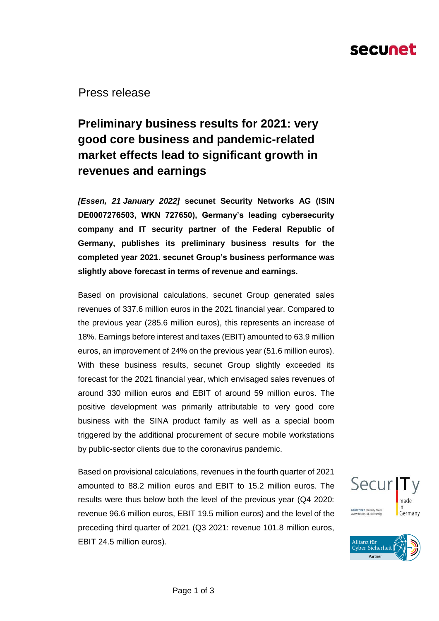# secunet

Press release

### **Preliminary business results for 2021: very good core business and pandemic-related market effects lead to significant growth in revenues and earnings**

*[Essen, 21 January 2022]* **secunet Security Networks AG (ISIN DE0007276503, WKN 727650), Germany's leading cybersecurity company and IT security partner of the Federal Republic of Germany, publishes its preliminary business results for the completed year 2021. secunet Group's business performance was slightly above forecast in terms of revenue and earnings.** 

Based on provisional calculations, secunet Group generated sales revenues of 337.6 million euros in the 2021 financial year. Compared to the previous year (285.6 million euros), this represents an increase of 18%. Earnings before interest and taxes (EBIT) amounted to 63.9 million euros, an improvement of 24% on the previous year (51.6 million euros). With these business results, secunet Group slightly exceeded its forecast for the 2021 financial year, which envisaged sales revenues of around 330 million euros and EBIT of around 59 million euros. The positive development was primarily attributable to very good core business with the SINA product family as well as a special boom triggered by the additional procurement of secure mobile workstations by public-sector clients due to the coronavirus pandemic.

Based on provisional calculations, revenues in the fourth quarter of 2021 amounted to 88.2 million euros and EBIT to 15.2 million euros. The results were thus below both the level of the previous year (Q4 2020: revenue 96.6 million euros, EBIT 19.5 million euros) and the level of the preceding third quarter of 2021 (Q3 2021: revenue 101.8 million euros, EBIT 24.5 million euros).



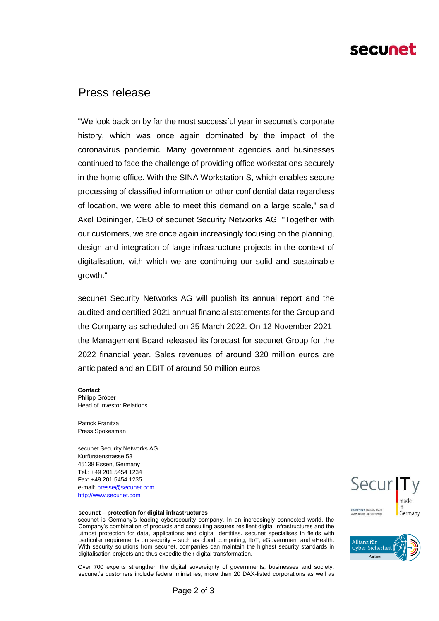## secunet

### Press release

"We look back on by far the most successful year in secunet's corporate history, which was once again dominated by the impact of the coronavirus pandemic. Many government agencies and businesses continued to face the challenge of providing office workstations securely in the home office. With the SINA Workstation S, which enables secure processing of classified information or other confidential data regardless of location, we were able to meet this demand on a large scale," said Axel Deininger, CEO of secunet Security Networks AG. "Together with our customers, we are once again increasingly focusing on the planning, design and integration of large infrastructure projects in the context of digitalisation, with which we are continuing our solid and sustainable growth."

secunet Security Networks AG will publish its annual report and the audited and certified 2021 annual financial statements for the Group and the Company as scheduled on 25 March 2022. On 12 November 2021, the Management Board released its forecast for secunet Group for the 2022 financial year. Sales revenues of around 320 million euros are anticipated and an EBIT of around 50 million euros.

#### **Contact**

Philipp Gröber Head of Investor Relations

Patrick Franitza Press Spokesman

secunet Security Networks AG Kurfürstenstrasse 58 45138 Essen, Germany Tel.: +49 201 5454 1234 Fax: +49 201 5454 1235 e-mail: presse@secunet.com [http://www.secunet.com](http://www.secunet.com/)

#### **secunet – protection for digital infrastructures**

secunet is Germany's leading cybersecurity company. In an increasingly connected world, the Company's combination of products and consulting assures resilient digital infrastructures and the utmost protection for data, applications and digital identities. secunet specialises in fields with particular requirements on security – such as cloud computing, IIoT, eGovernment and eHealth. With security solutions from secunet, companies can maintain the highest security standards in digitalisation projects and thus expedite their digital transformation.

Over 700 experts strengthen the digital sovereignty of governments, businesses and society. secunet's customers include federal ministries, more than 20 DAX-listed corporations as well as